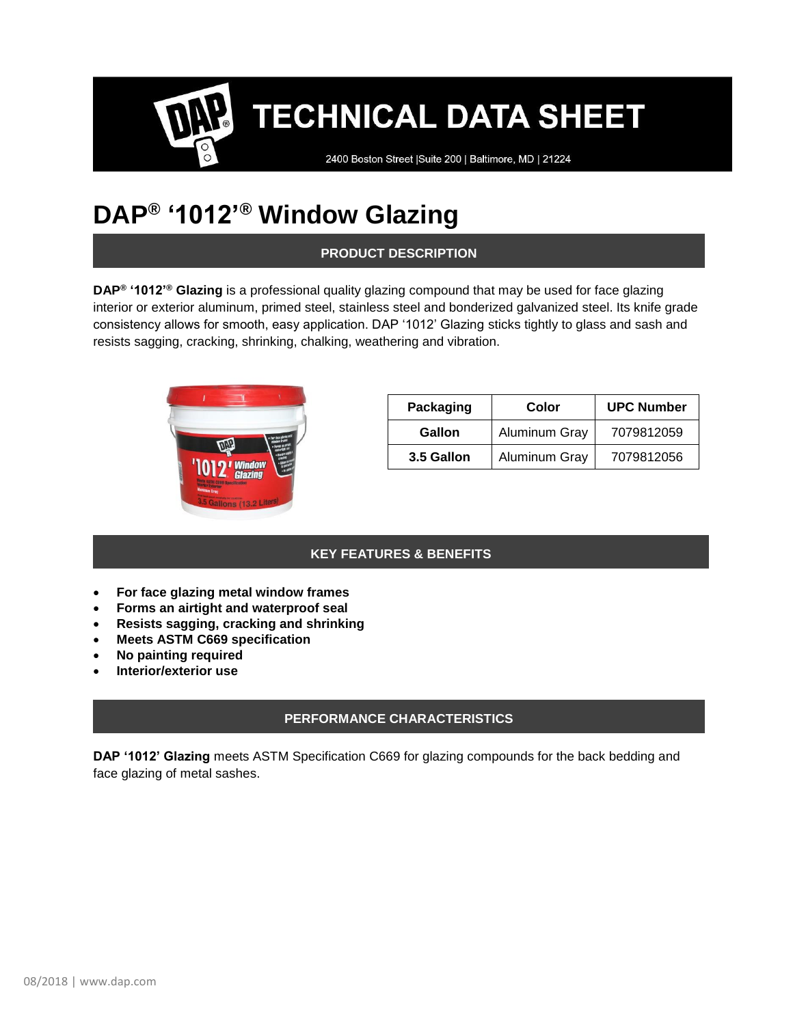2400 Boston Street | Suite 200 | Baltimore, MD | 21224

### **DAP® '1012'® Window Glazing**

**PRODUCT DESCRIPTION**

**DAP® '1012'® Glazing** is a professional quality glazing compound that may be used for face glazing interior or exterior aluminum, primed steel, stainless steel and bonderized galvanized steel. Its knife grade consistency allows for smooth, easy application. DAP '1012' Glazing sticks tightly to glass and sash and resists sagging, cracking, shrinking, chalking, weathering and vibration.



| Packaging  | Color         | <b>UPC Number</b> |
|------------|---------------|-------------------|
| Gallon     | Aluminum Gray | 7079812059        |
| 3.5 Gallon | Aluminum Gray | 7079812056        |

### **KEY FEATURES & BENEFITS**

- **For face glazing metal window frames**
- **Forms an airtight and waterproof seal**
- **Resists sagging, cracking and shrinking**
- **Meets ASTM C669 specification**
- **No painting required**
- **Interior/exterior use**

### **PERFORMANCE CHARACTERISTICS**

**DAP '1012' Glazing** meets ASTM Specification C669 for glazing compounds for the back bedding and face glazing of metal sashes.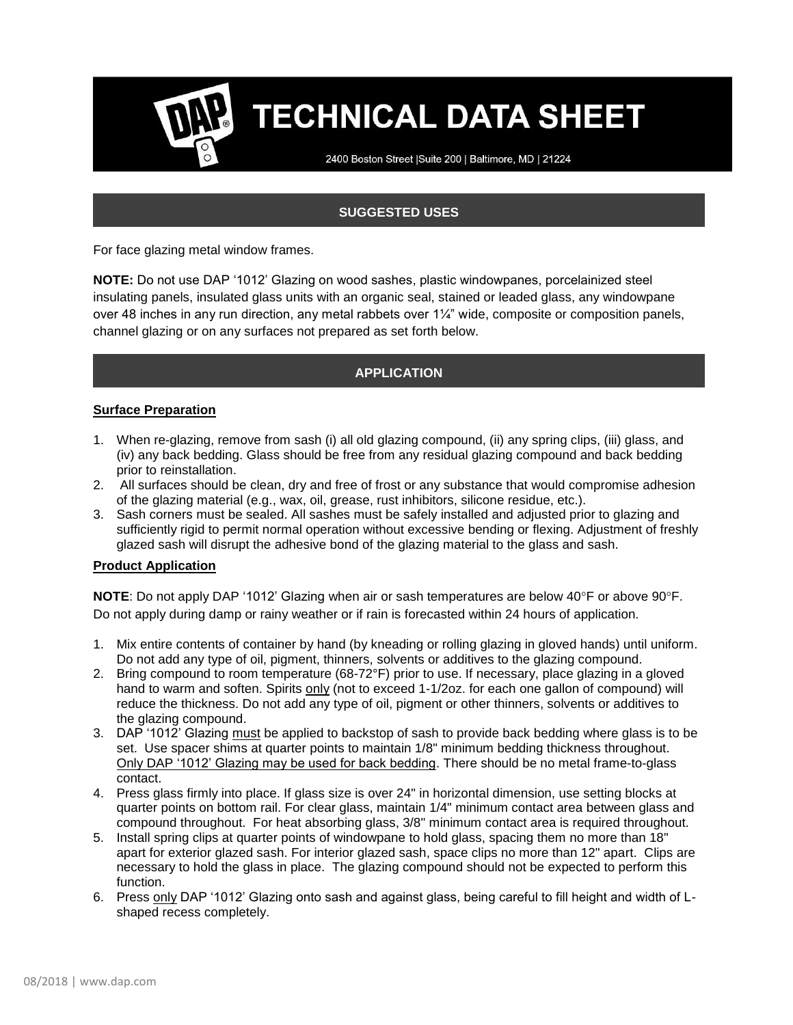2400 Boston Street | Suite 200 | Baltimore, MD | 21224

### **SUGGESTED USES**

For face glazing metal window frames.

**NOTE:** Do not use DAP '1012' Glazing on wood sashes, plastic windowpanes, porcelainized steel insulating panels, insulated glass units with an organic seal, stained or leaded glass, any windowpane over 48 inches in any run direction, any metal rabbets over 1¼" wide, composite or composition panels, channel glazing or on any surfaces not prepared as set forth below.

### **APPLICATION**

### **Surface Preparation**

- 1. When re-glazing, remove from sash (i) all old glazing compound, (ii) any spring clips, (iii) glass, and (iv) any back bedding. Glass should be free from any residual glazing compound and back bedding prior to reinstallation.
- 2. All surfaces should be clean, dry and free of frost or any substance that would compromise adhesion of the glazing material (e.g., wax, oil, grease, rust inhibitors, silicone residue, etc.).
- 3. Sash corners must be sealed. All sashes must be safely installed and adjusted prior to glazing and sufficiently rigid to permit normal operation without excessive bending or flexing. Adjustment of freshly glazed sash will disrupt the adhesive bond of the glazing material to the glass and sash.

#### **Product Application**

NOTE: Do not apply DAP '1012' Glazing when air or sash temperatures are below 40°F or above 90°F. Do not apply during damp or rainy weather or if rain is forecasted within 24 hours of application.

- 1. Mix entire contents of container by hand (by kneading or rolling glazing in gloved hands) until uniform. Do not add any type of oil, pigment, thinners, solvents or additives to the glazing compound.
- 2. Bring compound to room temperature (68-72°F) prior to use. If necessary, place glazing in a gloved hand to warm and soften. Spirits only (not to exceed 1-1/2oz. for each one gallon of compound) will reduce the thickness. Do not add any type of oil, pigment or other thinners, solvents or additives to the glazing compound.
- 3. DAP '1012' Glazing must be applied to backstop of sash to provide back bedding where glass is to be set. Use spacer shims at quarter points to maintain 1/8" minimum bedding thickness throughout. Only DAP '1012' Glazing may be used for back bedding. There should be no metal frame-to-glass contact.
- 4. Press glass firmly into place. If glass size is over 24" in horizontal dimension, use setting blocks at quarter points on bottom rail. For clear glass, maintain 1/4" minimum contact area between glass and compound throughout. For heat absorbing glass, 3/8" minimum contact area is required throughout.
- 5. Install spring clips at quarter points of windowpane to hold glass, spacing them no more than 18" apart for exterior glazed sash. For interior glazed sash, space clips no more than 12" apart. Clips are necessary to hold the glass in place. The glazing compound should not be expected to perform this function.
- 6. Press only DAP '1012' Glazing onto sash and against glass, being careful to fill height and width of Lshaped recess completely.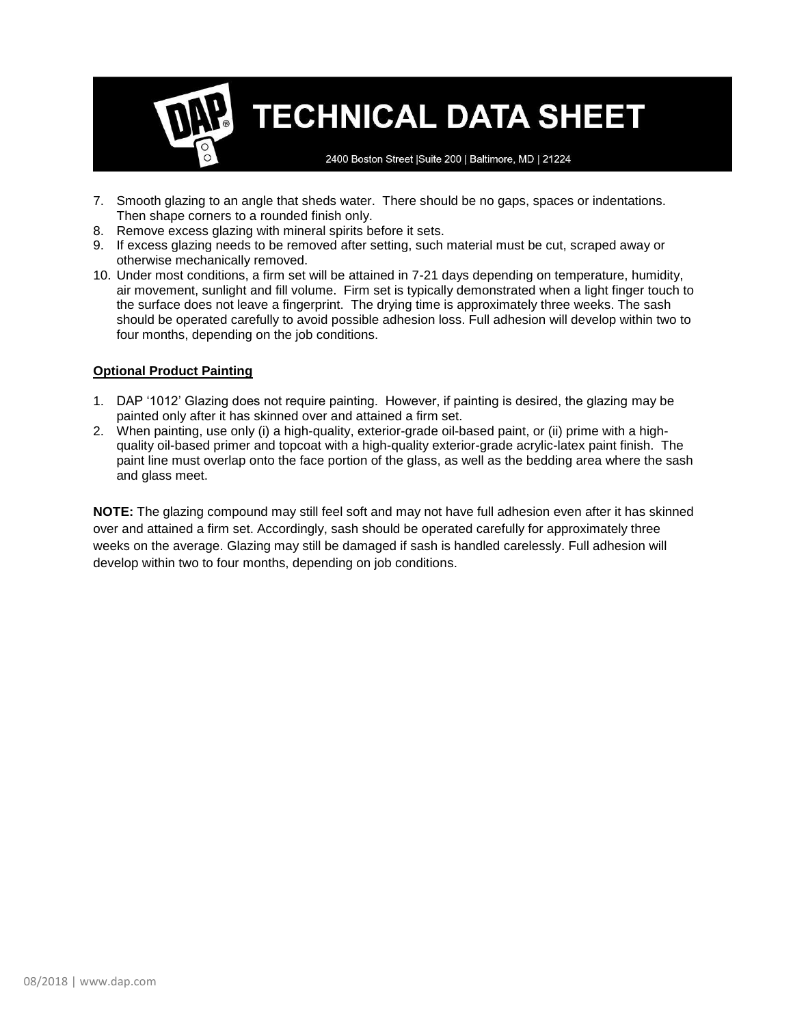2400 Boston Street | Suite 200 | Baltimore, MD | 21224

- 7. Smooth glazing to an angle that sheds water. There should be no gaps, spaces or indentations. Then shape corners to a rounded finish only.
- 8. Remove excess glazing with mineral spirits before it sets.
- 9. If excess glazing needs to be removed after setting, such material must be cut, scraped away or otherwise mechanically removed.
- 10. Under most conditions, a firm set will be attained in 7-21 days depending on temperature, humidity, air movement, sunlight and fill volume. Firm set is typically demonstrated when a light finger touch to the surface does not leave a fingerprint. The drying time is approximately three weeks. The sash should be operated carefully to avoid possible adhesion loss. Full adhesion will develop within two to four months, depending on the job conditions.

#### **Optional Product Painting**

- 1. DAP '1012' Glazing does not require painting. However, if painting is desired, the glazing may be painted only after it has skinned over and attained a firm set.
- 2. When painting, use only (i) a high-quality, exterior-grade oil-based paint, or (ii) prime with a highquality oil-based primer and topcoat with a high-quality exterior-grade acrylic-latex paint finish. The paint line must overlap onto the face portion of the glass, as well as the bedding area where the sash and glass meet.

**NOTE:** The glazing compound may still feel soft and may not have full adhesion even after it has skinned over and attained a firm set. Accordingly, sash should be operated carefully for approximately three weeks on the average. Glazing may still be damaged if sash is handled carelessly. Full adhesion will develop within two to four months, depending on job conditions.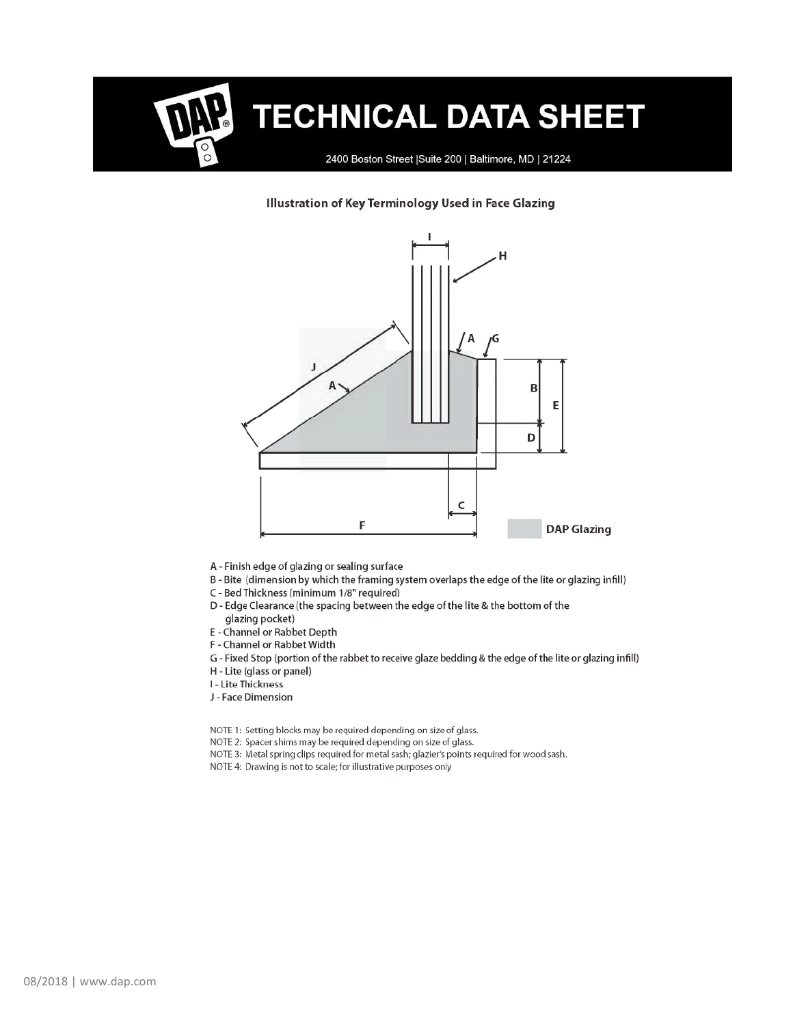2400 Boston Street | Suite 200 | Baltimore, MD | 21224

#### Illustration of Key Terminology Used in Face Glazing



- A Finish edge of glazing or sealing surface
- B-Bite (dimension by which the framing system overlaps the edge of the lite or glazing infill)
- C Bed Thickness (minimum 1/8" required)
- D Edge Clearance (the spacing between the edge of the lite & the bottom of the glazing pocket)
- E Channel or Rabbet Depth
- F Channel or Rabbet Width
- G Fixed Stop (portion of the rabbet to receive glaze bedding & the edge of the lite or glazing infill)
- H Lite (glass or panel)
- I Lite Thickness
- J Face Dimension
- NOTE 1: Setting blocks may be required depending on size of glass.
- NOTE 2: Spacer shims may be required depending on size of glass.
- NOTE 3: Metal spring clips required for metal sash; glazier's points required for wood sash.
- NOTE 4: Drawing is not to scale; for illustrative purposes only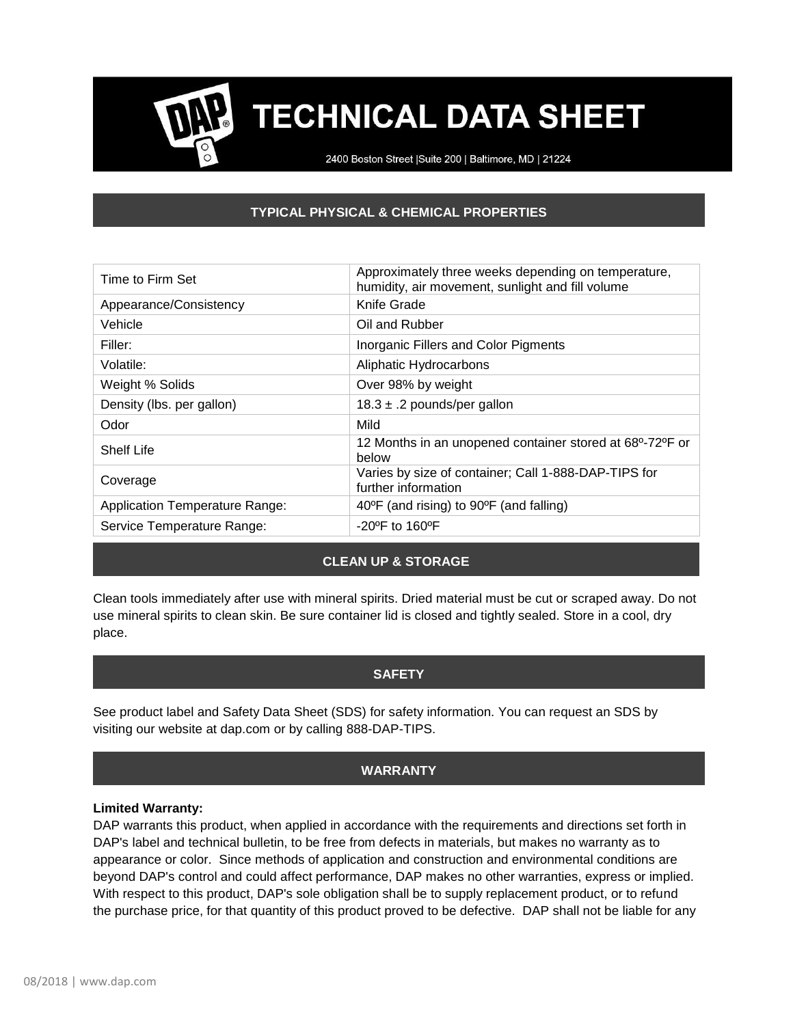2400 Boston Street | Suite 200 | Baltimore, MD | 21224

### **TYPICAL PHYSICAL & CHEMICAL PROPERTIES**

| Time to Firm Set                      | Approximately three weeks depending on temperature,<br>humidity, air movement, sunlight and fill volume |  |
|---------------------------------------|---------------------------------------------------------------------------------------------------------|--|
| Appearance/Consistency                | Knife Grade                                                                                             |  |
| Vehicle                               | Oil and Rubber                                                                                          |  |
| Filler:                               | Inorganic Fillers and Color Pigments                                                                    |  |
| Volatile:                             | Aliphatic Hydrocarbons                                                                                  |  |
| Weight % Solids                       | Over 98% by weight                                                                                      |  |
| Density (lbs. per gallon)             | 18.3 $\pm$ .2 pounds/per gallon                                                                         |  |
| Odor                                  | Mild                                                                                                    |  |
| <b>Shelf Life</b>                     | 12 Months in an unopened container stored at 68°-72°F or<br>below                                       |  |
| Coverage                              | Varies by size of container; Call 1-888-DAP-TIPS for<br>further information                             |  |
| <b>Application Temperature Range:</b> | 40°F (and rising) to 90°F (and falling)                                                                 |  |
| Service Temperature Range:            | $-20^{\circ}$ F to 160 $^{\circ}$ F                                                                     |  |

### **CLEAN UP & STORAGE**

Clean tools immediately after use with mineral spirits. Dried material must be cut or scraped away. Do not use mineral spirits to clean skin. Be sure container lid is closed and tightly sealed. Store in a cool, dry place.

### **SAFETY**

See product label and Safety Data Sheet (SDS) for safety information. You can request an SDS by visiting our website at dap.com or by calling 888-DAP-TIPS.

### **WARRANTY**

#### **Limited Warranty:**

DAP warrants this product, when applied in accordance with the requirements and directions set forth in DAP's label and technical bulletin, to be free from defects in materials, but makes no warranty as to appearance or color. Since methods of application and construction and environmental conditions are beyond DAP's control and could affect performance, DAP makes no other warranties, express or implied. With respect to this product, DAP's sole obligation shall be to supply replacement product, or to refund the purchase price, for that quantity of this product proved to be defective. DAP shall not be liable for any